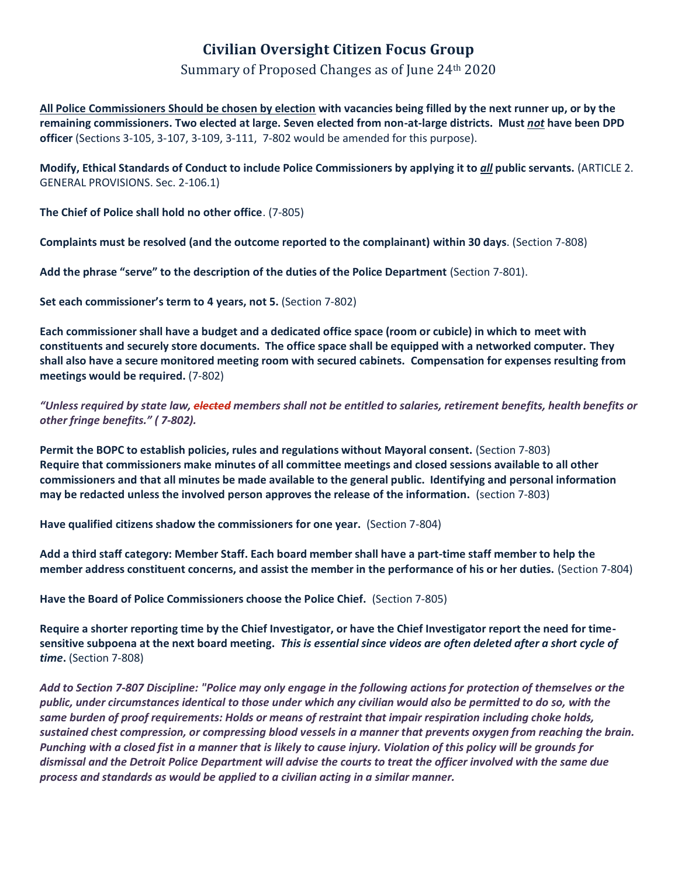## **Civilian Oversight Citizen Focus Group**

## Summary of Proposed Changes as of June 24th 2020

**All Police Commissioners Should be chosen by election with vacancies being filled by the next runner up, or by the remaining commissioners. Two elected at large. Seven elected from non-at-large districts. Must** *not* **have been DPD officer** (Sections 3-105, 3-107, 3-109, 3-111, 7-802 would be amended for this purpose).

**Modify, Ethical Standards of Conduct to include Police Commissioners by applying it to** *all* **public servants.** (ARTICLE 2. GENERAL PROVISIONS. Sec. 2-106.1)

**The Chief of Police shall hold no other office**. (7-805)

**Complaints must be resolved (and the outcome reported to the complainant) within 30 days**. (Section 7-808)

**Add the phrase "serve" to the description of the duties of the Police Department** (Section 7-801).

**Set each commissioner's term to 4 years, not 5.** (Section 7-802)

**Each commissioner shall have a budget and a dedicated office space (room or cubicle) in which to meet with constituents and securely store documents. The office space shall be equipped with a networked computer. They shall also have a secure monitored meeting room with secured cabinets. Compensation for expenses resulting from meetings would be required.** (7-802)

"Unless required by state law, <del>elected</del> members shall not be entitled to salaries, retirement benefits, health benefits or *other fringe benefits." ( 7-802).*

**Permit the BOPC to establish policies, rules and regulations without Mayoral consent.** (Section 7-803) **Require that commissioners make minutes of all committee meetings and closed sessions available to all other commissioners and that all minutes be made available to the general public. Identifying and personal information may be redacted unless the involved person approves the release of the information.** (section 7-803)

**Have qualified citizens shadow the commissioners for one year.** (Section 7-804)

**Add a third staff category: Member Staff. Each board member shall have a part-time staff member to help the member address constituent concerns, and assist the member in the performance of his or her duties.** (Section 7-804)

**Have the Board of Police Commissioners choose the Police Chief.** (Section 7-805)

**Require a shorter reporting time by the Chief Investigator, or have the Chief Investigator report the need for timesensitive subpoena at the next board meeting.** *This is essential since videos are often deleted after a short cycle of time***.** (Section 7-808)

*Add to Section 7-807 Discipline: "Police may only engage in the following actions for protection of themselves or the public, under circumstances identical to those under which any civilian would also be permitted to do so, with the same burden of proof requirements: Holds or means of restraint that impair respiration including choke holds, sustained chest compression, or compressing blood vessels in a manner that prevents oxygen from reaching the brain. Punching with a closed fist in a manner that is likely to cause injury. Violation of this policy will be grounds for dismissal and the Detroit Police Department will advise the courts to treat the officer involved with the same due process and standards as would be applied to a civilian acting in a similar manner.*